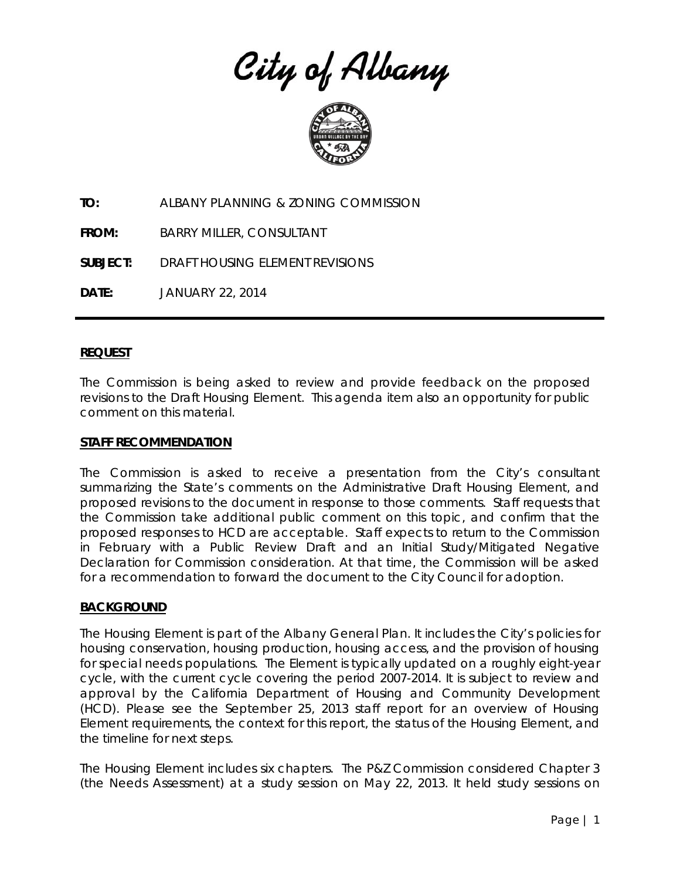City of Albany



**TO:** ALBANY PLANNING & ZONING COMMISSION

**FROM:** BARRY MILLER, CONSULTANT

**SUBJECT:** DRAFT HOUSING ELEMENT REVISIONS

**DATE:** JANUARY 22, 2014

### **REQUEST**

The Commission is being asked to review and provide feedback on the proposed revisions to the Draft Housing Element. This agenda item also an opportunity for public comment on this material.

#### **STAFF RECOMMENDATION**

The Commission is asked to receive a presentation from the City's consultant summarizing the State's comments on the Administrative Draft Housing Element, and proposed revisions to the document in response to those comments. Staff requests that the Commission take additional public comment on this topic, and confirm that the proposed responses to HCD are acceptable. Staff expects to return to the Commission in February with a Public Review Draft and an Initial Study/Mitigated Negative Declaration for Commission consideration. At that time, the Commission will be asked for a recommendation to forward the document to the City Council for adoption.

### **BACKGROUND**

The Housing Element is part of the Albany General Plan. It includes the City's policies for housing conservation, housing production, housing access, and the provision of housing for special needs populations. The Element is typically updated on a roughly eight-year cycle, with the current cycle covering the period 2007-2014. It is subject to review and approval by the California Department of Housing and Community Development (HCD). Please see the September 25, 2013 staff report for an overview of Housing Element requirements, the context for this report, the status of the Housing Element, and the timeline for next steps.

The Housing Element includes six chapters. The P&Z Commission considered Chapter 3 (the Needs Assessment) at a study session on May 22, 2013. It held study sessions on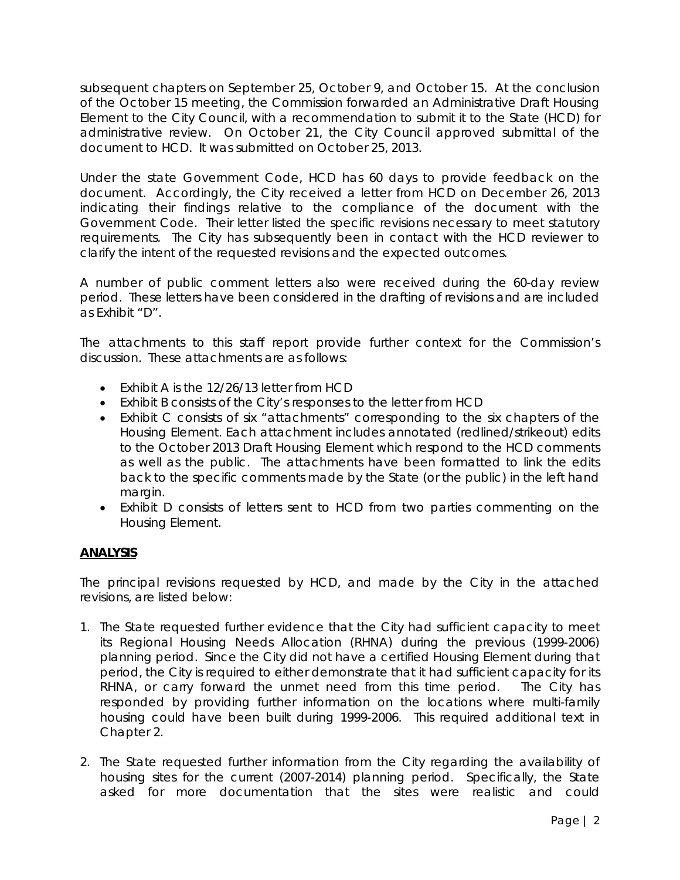subsequent chapters on September 25, October 9, and October 15. At the conclusion of the October 15 meeting, the Commission forwarded an Administrative Draft Housing Element to the City Council, with a recommendation to submit it to the State (HCD) for administrative review. On October 21, the City Council approved submittal of the document to HCD. It was submitted on October 25, 2013.

Under the state Government Code, HCD has 60 days to provide feedback on the document. Accordingly, the City received a letter from HCD on December 26, 2013 indicating their findings relative to the compliance of the document with the Government Code. Their letter listed the specific revisions necessary to meet statutory requirements. The City has subsequently been in contact with the HCD reviewer to clarify the intent of the requested revisions and the expected outcomes.

A number of public comment letters also were received during the 60-day review period. These letters have been considered in the drafting of revisions and are included as Exhibit "D".

The attachments to this staff report provide further context for the Commission's discussion. These attachments are as follows:

- Exhibit A is the 12/26/13 letter from HCD
- Exhibit B consists of the City's responses to the letter from HCD
- Exhibit C consists of six "attachments" corresponding to the six chapters of the Housing Element. Each attachment includes annotated (redlined/strikeout) edits to the October 2013 Draft Housing Element which respond to the HCD comments as well as the public. The attachments have been formatted to link the edits back to the specific comments made by the State (or the public) in the left hand margin.
- Exhibit D consists of letters sent to HCD from two parties commenting on the Housing Element.

# **ANALYSIS**

The principal revisions requested by HCD, and made by the City in the attached revisions, are listed below:

- 1. The State requested further evidence that the City had sufficient capacity to meet its Regional Housing Needs Allocation (RHNA) during the previous (1999-2006) planning period. Since the City did not have a certified Housing Element during that period, the City is required to either demonstrate that it had sufficient capacity for its RHNA, or carry forward the unmet need from this time period. The City has responded by providing further information on the locations where multi-family housing could have been built during 1999-2006. This required additional text in Chapter 2.
- 2. The State requested further information from the City regarding the availability of housing sites for the current (2007-2014) planning period. Specifically, the State asked for more documentation that the sites were realistic and could